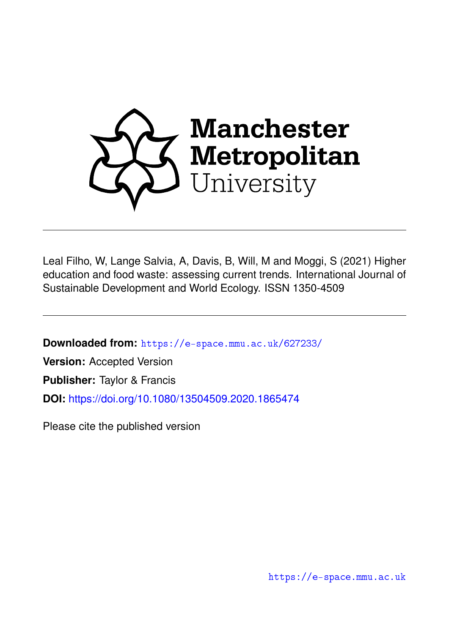

Leal Filho, W, Lange Salvia, A, Davis, B, Will, M and Moggi, S (2021) Higher education and food waste: assessing current trends. International Journal of Sustainable Development and World Ecology. ISSN 1350-4509

**Downloaded from:** <https://e-space.mmu.ac.uk/627233/>

**Version:** Accepted Version

**Publisher:** Taylor & Francis

**DOI:** <https://doi.org/10.1080/13504509.2020.1865474>

Please cite the published version

<https://e-space.mmu.ac.uk>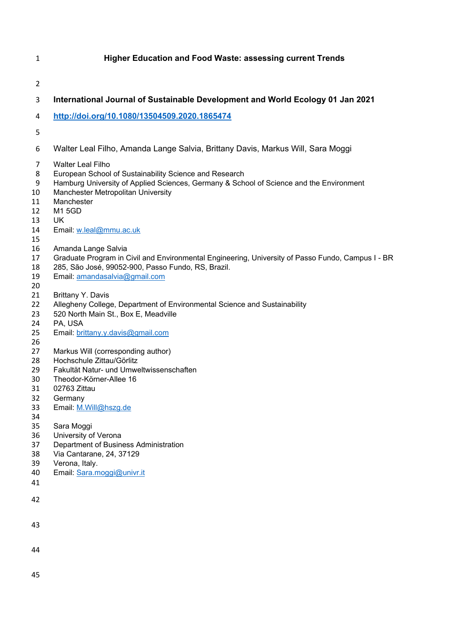# **Higher Education and Food Waste: assessing current Trends**

## **International Journal of Sustainable Development and World Ecology 01 Jan 2021**

### **http://doi.org/10.1080/13504509.2020.1865474**

- 
- Walter Leal Filho, Amanda Lange Salvia, Brittany Davis, Markus Will, Sara Moggi
- Walter Leal Filho
- European School of Sustainability Science and Research
- Hamburg University of Applied Sciences, Germany & School of Science and the Environment
- Manchester Metropolitan University
- Manchester
- M1 5GD
- UK
- Email: w.leal@mmu.ac.uk
- 
- Amanda Lange Salvia
- 17 Graduate Program in Civil and Environmental Engineering, University of Passo Fundo, Campus I BR<br>18 285, São José, 99052-900, Passo Fundo, RS, Brazil.
- 285, São José, 99052-900, Passo Fundo, RS, Brazil.
- Email: amandasalvia@gmail.com
- 
- Brittany Y. Davis
- Allegheny College, Department of Environmental Science and Sustainability
- 520 North Main St., Box E, Meadville
- PA, USA
- 25 Email: brittany.y.davis@gmail.com
- 26<br>27
- Markus Will (corresponding author)
- Hochschule Zittau/Görlitz
- Fakultät Natur- und Umweltwissenschaften
- Theodor-Körner-Allee 16
- 02763 Zittau
- Germany
- Email: M.Will@hszg.de
- Sara Moggi
- 
- University of Verona
- Department of Business Administration
- Via Cantarane, 24, 37129
- Verona, Italy.
- Email: Sara.moggi@univr.it
- 
- 
- 
- 
-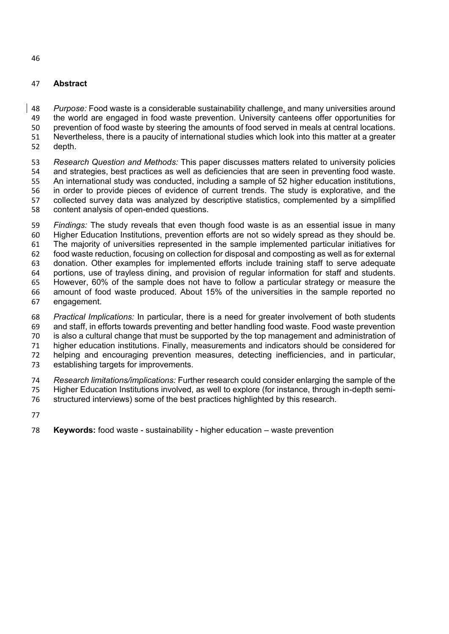# **Abstract**

 *Purpose:* Food waste is a considerable sustainability challenge, and many universities around the world are engaged in food waste prevention. University canteens offer opportunities for prevention of food waste by steering the amounts of food served in meals at central locations. Nevertheless, there is a paucity of international studies which look into this matter at a greater depth.

 *Research Question and Methods:* This paper discusses matters related to university policies and strategies, best practices as well as deficiencies that are seen in preventing food waste. An international study was conducted, including a sample of 52 higher education institutions, in order to provide pieces of evidence of current trends. The study is explorative, and the collected survey data was analyzed by descriptive statistics, complemented by a simplified content analysis of open-ended questions.

 *Findings:* The study reveals that even though food waste is as an essential issue in many Higher Education Institutions, prevention efforts are not so widely spread as they should be. The majority of universities represented in the sample implemented particular initiatives for food waste reduction, focusing on collection for disposal and composting as well as for external donation. Other examples for implemented efforts include training staff to serve adequate portions, use of trayless dining, and provision of regular information for staff and students. However, 60% of the sample does not have to follow a particular strategy or measure the amount of food waste produced. About 15% of the universities in the sample reported no engagement.

 *Practical Implications:* In particular, there is a need for greater involvement of both students and staff, in efforts towards preventing and better handling food waste. Food waste prevention is also a cultural change that must be supported by the top management and administration of higher education institutions. Finally, measurements and indicators should be considered for helping and encouraging prevention measures, detecting inefficiencies, and in particular, establishing targets for improvements.

 *Research limitations/implications:* Further research could consider enlarging the sample of the Higher Education Institutions involved, as well to explore (for instance, through in-depth semi-structured interviews) some of the best practices highlighted by this research.

**Keywords:** food waste - sustainability - higher education – waste prevention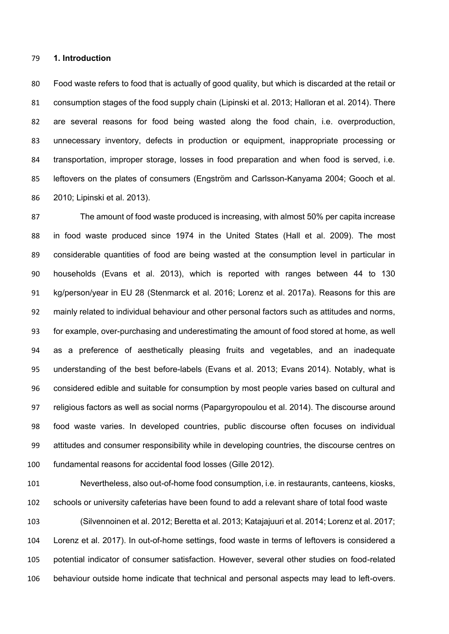#### **1. Introduction**

 Food waste refers to food that is actually of good quality, but which is discarded at the retail or consumption stages of the food supply chain (Lipinski et al. 2013; Halloran et al. 2014). There are several reasons for food being wasted along the food chain, i.e. overproduction, unnecessary inventory, defects in production or equipment, inappropriate processing or transportation, improper storage, losses in food preparation and when food is served, i.e. leftovers on the plates of consumers (Engström and Carlsson-Kanyama 2004; Gooch et al. 2010; Lipinski et al. 2013).

 The amount of food waste produced is increasing, with almost 50% per capita increase in food waste produced since 1974 in the United States (Hall et al. 2009). The most considerable quantities of food are being wasted at the consumption level in particular in households (Evans et al. 2013), which is reported with ranges between 44 to 130 kg/person/year in EU 28 (Stenmarck et al. 2016; Lorenz et al. 2017a). Reasons for this are mainly related to individual behaviour and other personal factors such as attitudes and norms, for example, over-purchasing and underestimating the amount of food stored at home, as well as a preference of aesthetically pleasing fruits and vegetables, and an inadequate understanding of the best before-labels (Evans et al. 2013; Evans 2014). Notably, what is considered edible and suitable for consumption by most people varies based on cultural and religious factors as well as social norms (Papargyropoulou et al. 2014). The discourse around food waste varies. In developed countries, public discourse often focuses on individual attitudes and consumer responsibility while in developing countries, the discourse centres on fundamental reasons for accidental food losses (Gille 2012).

 Nevertheless, also out-of-home food consumption, i.e. in restaurants, canteens, kiosks, schools or university cafeterias have been found to add a relevant share of total food waste (Silvennoinen et al. 2012; Beretta et al. 2013; Katajajuuri et al. 2014; Lorenz et al. 2017; Lorenz et al. 2017). In out-of-home settings, food waste in terms of leftovers is considered a potential indicator of consumer satisfaction. However, several other studies on food-related behaviour outside home indicate that technical and personal aspects may lead to left-overs.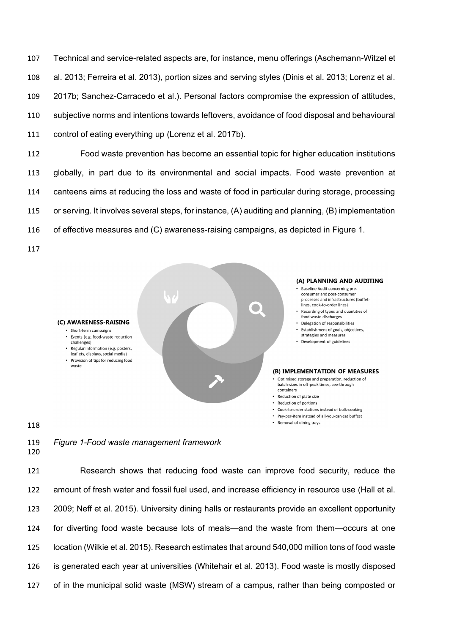Technical and service-related aspects are, for instance, menu offerings (Aschemann-Witzel et al. 2013; Ferreira et al. 2013), portion sizes and serving styles (Dinis et al. 2013; Lorenz et al. 2017b; Sanchez-Carracedo et al.). Personal factors compromise the expression of attitudes, subjective norms and intentions towards leftovers, avoidance of food disposal and behavioural control of eating everything up (Lorenz et al. 2017b).

 Food waste prevention has become an essential topic for higher education institutions globally, in part due to its environmental and social impacts. Food waste prevention at canteens aims at reducing the loss and waste of food in particular during storage, processing or serving. It involves several steps, for instance, (A) auditing and planning, (B) implementation of effective measures and (C) awareness-raising campaigns, as depicted in Figure 1.



*Figure 1-Food waste management framework*

 Research shows that reducing food waste can improve food security, reduce the amount of fresh water and fossil fuel used, and increase efficiency in resource use (Hall et al. 2009; Neff et al. 2015). University dining halls or restaurants provide an excellent opportunity for diverting food waste because lots of meals—and the waste from them—occurs at one location (Wilkie et al. 2015). Research estimates that around 540,000 million tons of food waste is generated each year at universities (Whitehair et al. 2013). Food waste is mostly disposed of in the municipal solid waste (MSW) stream of a campus, rather than being composted or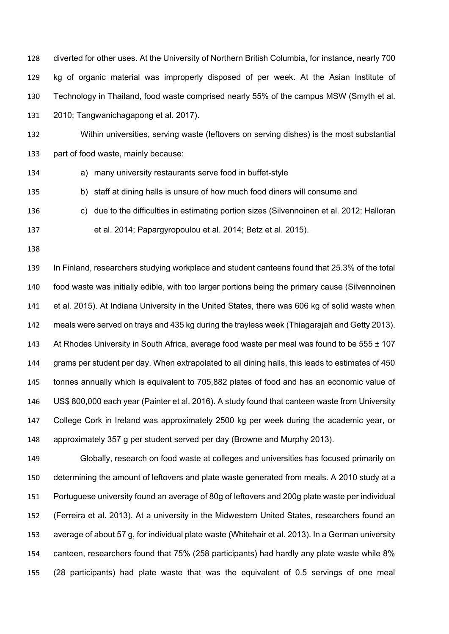diverted for other uses. At the University of Northern British Columbia, for instance, nearly 700 kg of organic material was improperly disposed of per week. At the Asian Institute of Technology in Thailand, food waste comprised nearly 55% of the campus MSW (Smyth et al. 2010; Tangwanichagapong et al. 2017).

 Within universities, serving waste (leftovers on serving dishes) is the most substantial part of food waste, mainly because:

a) many university restaurants serve food in buffet-style

b) staff at dining halls is unsure of how much food diners will consume and

- c) due to the difficulties in estimating portion sizes (Silvennoinen et al. 2012; Halloran
- et al. 2014; Papargyropoulou et al. 2014; Betz et al. 2015).
- 

 In Finland, researchers studying workplace and student canteens found that 25.3% of the total food waste was initially edible, with too larger portions being the primary cause (Silvennoinen et al. 2015). At Indiana University in the United States, there was 606 kg of solid waste when meals were served on trays and 435 kg during the trayless week (Thiagarajah and Getty 2013). 143 At Rhodes University in South Africa, average food waste per meal was found to be  $555 \pm 107$  grams per student per day. When extrapolated to all dining halls, this leads to estimates of 450 tonnes annually which is equivalent to 705,882 plates of food and has an economic value of US\$ 800,000 each year (Painter et al. 2016). A study found that canteen waste from University College Cork in Ireland was approximately 2500 kg per week during the academic year, or approximately 357 g per student served per day (Browne and Murphy 2013).

 Globally, research on food waste at colleges and universities has focused primarily on determining the amount of leftovers and plate waste generated from meals. A 2010 study at a Portuguese university found an average of 80g of leftovers and 200g plate waste per individual (Ferreira et al. 2013). At a university in the Midwestern United States, researchers found an average of about 57 g, for individual plate waste (Whitehair et al. 2013). In a German university canteen, researchers found that 75% (258 participants) had hardly any plate waste while 8% (28 participants) had plate waste that was the equivalent of 0.5 servings of one meal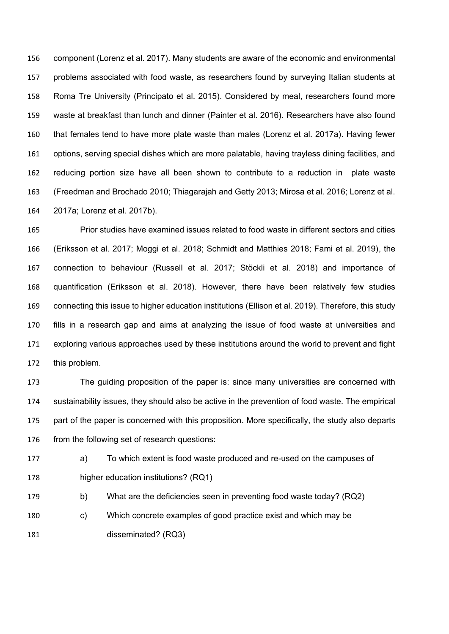component (Lorenz et al. 2017). Many students are aware of the economic and environmental problems associated with food waste, as researchers found by surveying Italian students at Roma Tre University (Principato et al. 2015). Considered by meal, researchers found more waste at breakfast than lunch and dinner (Painter et al. 2016). Researchers have also found that females tend to have more plate waste than males (Lorenz et al. 2017a). Having fewer options, serving special dishes which are more palatable, having trayless dining facilities, and reducing portion size have all been shown to contribute to a reduction in plate waste (Freedman and Brochado 2010; Thiagarajah and Getty 2013; Mirosa et al. 2016; Lorenz et al. 2017a; Lorenz et al. 2017b).

 Prior studies have examined issues related to food waste in different sectors and cities (Eriksson et al. 2017; Moggi et al. 2018; Schmidt and Matthies 2018; Fami et al. 2019), the connection to behaviour (Russell et al. 2017; Stöckli et al. 2018) and importance of quantification (Eriksson et al. 2018). However, there have been relatively few studies connecting this issue to higher education institutions (Ellison et al. 2019). Therefore, this study fills in a research gap and aims at analyzing the issue of food waste at universities and exploring various approaches used by these institutions around the world to prevent and fight this problem.

 The guiding proposition of the paper is: since many universities are concerned with sustainability issues, they should also be active in the prevention of food waste. The empirical 175 part of the paper is concerned with this proposition. More specifically, the study also departs from the following set of research questions:

 a) To which extent is food waste produced and re-used on the campuses of higher education institutions? (RQ1)

- 179 b) What are the deficiencies seen in preventing food waste today? (RQ2)
- c) Which concrete examples of good practice exist and which may be disseminated? (RQ3)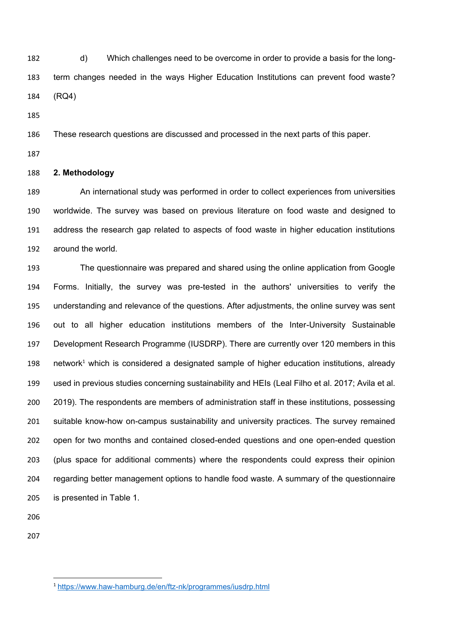d) Which challenges need to be overcome in order to provide a basis for the long- term changes needed in the ways Higher Education Institutions can prevent food waste? (RQ4)

These research questions are discussed and processed in the next parts of this paper.

## **2. Methodology**

 An international study was performed in order to collect experiences from universities worldwide. The survey was based on previous literature on food waste and designed to address the research gap related to aspects of food waste in higher education institutions around the world.

 The questionnaire was prepared and shared using the online application from Google Forms. Initially, the survey was pre-tested in the authors' universities to verify the understanding and relevance of the questions. After adjustments, the online survey was sent out to all higher education institutions members of the Inter-University Sustainable Development Research Programme (IUSDRP). There are currently over 120 members in this network<sup>1</sup> which is considered a designated sample of higher education institutions, already used in previous studies concerning sustainability and HEIs (Leal Filho et al. 2017; Avila et al. 2019). The respondents are members of administration staff in these institutions, possessing suitable know-how on-campus sustainability and university practices. The survey remained open for two months and contained closed-ended questions and one open-ended question (plus space for additional comments) where the respondents could express their opinion regarding better management options to handle food waste. A summary of the questionnaire is presented in Table 1.

**.** 

https://www.haw-hamburg.de/en/ftz-nk/programmes/iusdrp.html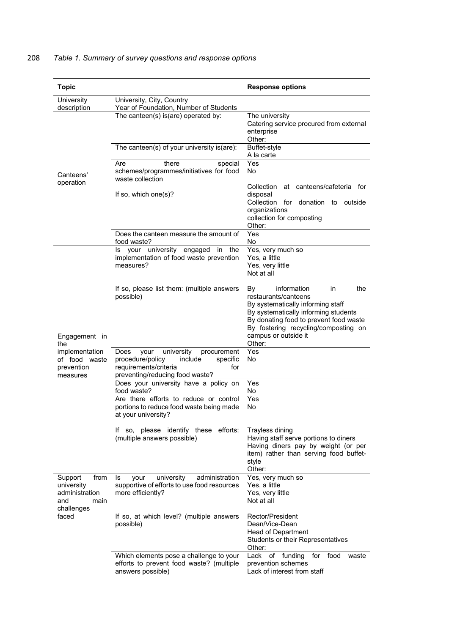# 208 *Table 1. Summary of survey questions and response options*

| <b>Topic</b>                                                                          |                                                                                                                                                         | <b>Response options</b>                                                                                                                                                                                                                                 |  |  |
|---------------------------------------------------------------------------------------|---------------------------------------------------------------------------------------------------------------------------------------------------------|---------------------------------------------------------------------------------------------------------------------------------------------------------------------------------------------------------------------------------------------------------|--|--|
| University<br>description                                                             | University, City, Country<br>Year of Foundation, Number of Students                                                                                     |                                                                                                                                                                                                                                                         |  |  |
|                                                                                       | The canteen(s) is(are) operated by:                                                                                                                     | The university<br>Catering service procured from external<br>enterprise<br>Other:                                                                                                                                                                       |  |  |
|                                                                                       | The canteen(s) of your university is(are):                                                                                                              | Buffet-style<br>A la carte                                                                                                                                                                                                                              |  |  |
| Canteens'<br>operation                                                                | there<br>Are<br>special<br>schemes/programmes/initiatives for food<br>waste collection                                                                  | Yes<br>No                                                                                                                                                                                                                                               |  |  |
|                                                                                       | If so, which one $(s)$ ?                                                                                                                                | Collection at canteens/cafeteria for<br>disposal<br>Collection for donation to<br>outside<br>organizations<br>collection for composting<br>Other:                                                                                                       |  |  |
|                                                                                       | Does the canteen measure the amount of<br>food waste?                                                                                                   | Yes<br>No                                                                                                                                                                                                                                               |  |  |
|                                                                                       | Is your university engaged<br>the<br>in<br>implementation of food waste prevention<br>measures?                                                         | Yes, very much so<br>Yes, a little<br>Yes, very little<br>Not at all                                                                                                                                                                                    |  |  |
| Engagement in<br>the                                                                  | If so, please list them: (multiple answers<br>possible)                                                                                                 | the<br>information<br>in<br>B٧<br>restaurants/canteens<br>By systematically informing staff<br>By systematically informing students<br>By donating food to prevent food waste<br>By fostering recycling/composting on<br>campus or outside it<br>Other: |  |  |
| implementation<br>of food waste<br>prevention<br>measures                             | university<br>procurement<br>Does<br>your<br>procedure/policy<br>include<br>specific<br>requirements/criteria<br>for<br>preventing/reducing food waste? | Yes<br>No                                                                                                                                                                                                                                               |  |  |
|                                                                                       | Does your university have a policy on<br>food waste?                                                                                                    | Yes<br>No                                                                                                                                                                                                                                               |  |  |
|                                                                                       | Are there efforts to reduce or control<br>portions to reduce food waste being made<br>at your university?                                               | Yes<br>No                                                                                                                                                                                                                                               |  |  |
|                                                                                       | If so, please identify these efforts:<br>(multiple answers possible)                                                                                    | Trayless dining<br>Having staff serve portions to diners<br>Having diners pay by weight (or per<br>item) rather than serving food buffet-<br>style<br>Other:                                                                                            |  |  |
| Support<br>from<br>university<br>administration<br>and<br>main<br>challenges<br>faced | university<br>administration<br>Is<br>your<br>supportive of efforts to use food resources<br>more efficiently?                                          | Yes, very much so<br>Yes, a little<br>Yes, very little<br>Not at all                                                                                                                                                                                    |  |  |
|                                                                                       | If so, at which level? (multiple answers<br>possible)                                                                                                   | Rector/President<br>Dean/Vice-Dean<br>Head of Department<br>Students or their Representatives<br>Other:                                                                                                                                                 |  |  |
|                                                                                       | Which elements pose a challenge to your<br>efforts to prevent food waste? (multiple<br>answers possible)                                                | Lack of funding<br>for food<br>waste<br>prevention schemes<br>Lack of interest from staff                                                                                                                                                               |  |  |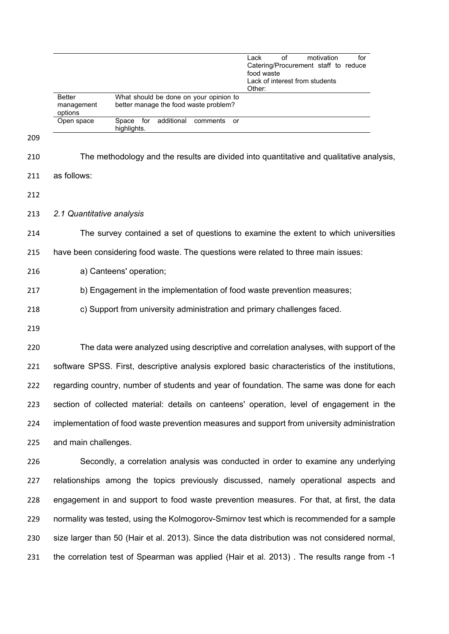|     |                                                                                                |                                                                                         |            |                                                                                 |    | Lack<br>of<br>Catering/Procurement staff to reduce<br>food waste<br>Lack of interest from students<br>Other: |  | motivation | for |  |
|-----|------------------------------------------------------------------------------------------------|-----------------------------------------------------------------------------------------|------------|---------------------------------------------------------------------------------|----|--------------------------------------------------------------------------------------------------------------|--|------------|-----|--|
|     | <b>Better</b><br>management<br>options                                                         |                                                                                         |            | What should be done on your opinion to<br>better manage the food waste problem? |    |                                                                                                              |  |            |     |  |
|     | Open space                                                                                     | Space for<br>highlights.                                                                | additional | comments                                                                        | or |                                                                                                              |  |            |     |  |
| 209 |                                                                                                |                                                                                         |            |                                                                                 |    |                                                                                                              |  |            |     |  |
| 210 |                                                                                                | The methodology and the results are divided into quantitative and qualitative analysis, |            |                                                                                 |    |                                                                                                              |  |            |     |  |
| 211 | as follows:                                                                                    |                                                                                         |            |                                                                                 |    |                                                                                                              |  |            |     |  |
| 212 |                                                                                                |                                                                                         |            |                                                                                 |    |                                                                                                              |  |            |     |  |
| 213 | 2.1 Quantitative analysis                                                                      |                                                                                         |            |                                                                                 |    |                                                                                                              |  |            |     |  |
| 214 |                                                                                                | The survey contained a set of questions to examine the extent to which universities     |            |                                                                                 |    |                                                                                                              |  |            |     |  |
| 215 | have been considering food waste. The questions were related to three main issues:             |                                                                                         |            |                                                                                 |    |                                                                                                              |  |            |     |  |
| 216 | a) Canteens' operation;                                                                        |                                                                                         |            |                                                                                 |    |                                                                                                              |  |            |     |  |
| 217 | b) Engagement in the implementation of food waste prevention measures;                         |                                                                                         |            |                                                                                 |    |                                                                                                              |  |            |     |  |
| 218 |                                                                                                | c) Support from university administration and primary challenges faced.                 |            |                                                                                 |    |                                                                                                              |  |            |     |  |
| 219 |                                                                                                |                                                                                         |            |                                                                                 |    |                                                                                                              |  |            |     |  |
| 220 |                                                                                                | The data were analyzed using descriptive and correlation analyses, with support of the  |            |                                                                                 |    |                                                                                                              |  |            |     |  |
| 221 | software SPSS. First, descriptive analysis explored basic characteristics of the institutions, |                                                                                         |            |                                                                                 |    |                                                                                                              |  |            |     |  |
| 222 | regarding country, number of students and year of foundation. The same was done for each       |                                                                                         |            |                                                                                 |    |                                                                                                              |  |            |     |  |
| 223 | section of collected material: details on canteens' operation, level of engagement in the      |                                                                                         |            |                                                                                 |    |                                                                                                              |  |            |     |  |
| 224 | implementation of food waste prevention measures and support from university administration    |                                                                                         |            |                                                                                 |    |                                                                                                              |  |            |     |  |
| 225 | and main challenges.                                                                           |                                                                                         |            |                                                                                 |    |                                                                                                              |  |            |     |  |
| 226 |                                                                                                | Secondly, a correlation analysis was conducted in order to examine any underlying       |            |                                                                                 |    |                                                                                                              |  |            |     |  |
| 227 | relationships among the topics previously discussed, namely operational aspects and            |                                                                                         |            |                                                                                 |    |                                                                                                              |  |            |     |  |
| 228 | engagement in and support to food waste prevention measures. For that, at first, the data      |                                                                                         |            |                                                                                 |    |                                                                                                              |  |            |     |  |
| 229 | normality was tested, using the Kolmogorov-Smirnov test which is recommended for a sample      |                                                                                         |            |                                                                                 |    |                                                                                                              |  |            |     |  |
| 230 | size larger than 50 (Hair et al. 2013). Since the data distribution was not considered normal, |                                                                                         |            |                                                                                 |    |                                                                                                              |  |            |     |  |
| 231 | the correlation test of Spearman was applied (Hair et al. 2013). The results range from -1     |                                                                                         |            |                                                                                 |    |                                                                                                              |  |            |     |  |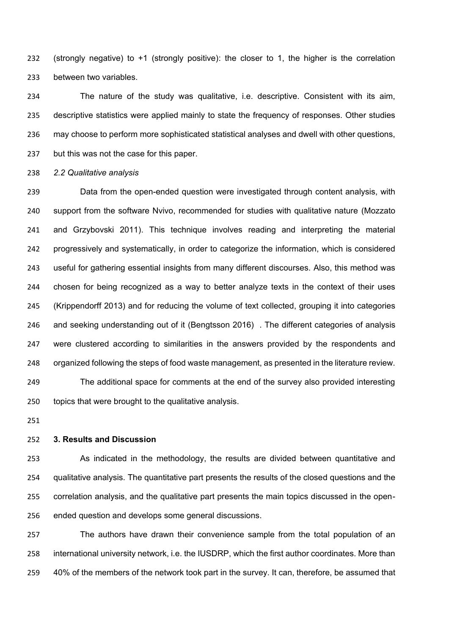(strongly negative) to +1 (strongly positive): the closer to 1, the higher is the correlation between two variables.

 The nature of the study was qualitative, i.e. descriptive. Consistent with its aim, descriptive statistics were applied mainly to state the frequency of responses. Other studies may choose to perform more sophisticated statistical analyses and dwell with other questions, but this was not the case for this paper.

*2.2 Qualitative analysis* 

 Data from the open-ended question were investigated through content analysis, with support from the software Nvivo, recommended for studies with qualitative nature (Mozzato and Grzybovski 2011). This technique involves reading and interpreting the material progressively and systematically, in order to categorize the information, which is considered useful for gathering essential insights from many different discourses. Also, this method was chosen for being recognized as a way to better analyze texts in the context of their uses (Krippendorff 2013) and for reducing the volume of text collected, grouping it into categories and seeking understanding out of it (Bengtsson 2016) . The different categories of analysis were clustered according to similarities in the answers provided by the respondents and organized following the steps of food waste management, as presented in the literature review. The additional space for comments at the end of the survey also provided interesting

### **3. Results and Discussion**

topics that were brought to the qualitative analysis.

 As indicated in the methodology, the results are divided between quantitative and qualitative analysis. The quantitative part presents the results of the closed questions and the correlation analysis, and the qualitative part presents the main topics discussed in the open-ended question and develops some general discussions.

 The authors have drawn their convenience sample from the total population of an international university network, i.e. the IUSDRP, which the first author coordinates. More than 40% of the members of the network took part in the survey. It can, therefore, be assumed that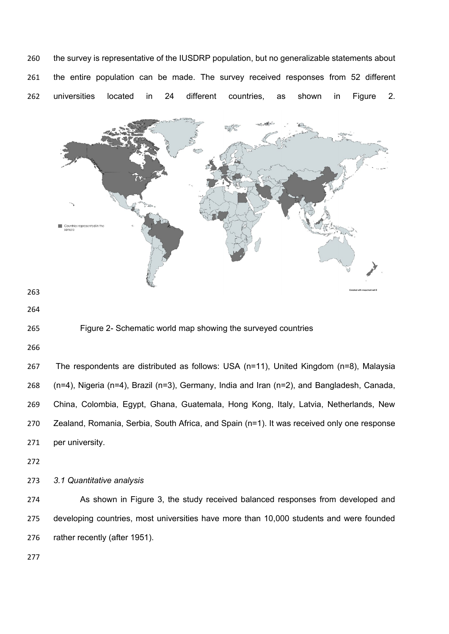the survey is representative of the IUSDRP population, but no generalizable statements about the entire population can be made. The survey received responses from 52 different universities located in 24 different countries, as shown in Figure 2.



## Figure 2- Schematic world map showing the surveyed countries

 The respondents are distributed as follows: USA (n=11), United Kingdom (n=8), Malaysia (n=4), Nigeria (n=4), Brazil (n=3), Germany, India and Iran (n=2), and Bangladesh, Canada, China, Colombia, Egypt, Ghana, Guatemala, Hong Kong, Italy, Latvia, Netherlands, New Zealand, Romania, Serbia, South Africa, and Spain (n=1). It was received only one response per university.

*3.1 Quantitative analysis* 

 As shown in Figure 3, the study received balanced responses from developed and developing countries, most universities have more than 10,000 students and were founded rather recently (after 1951).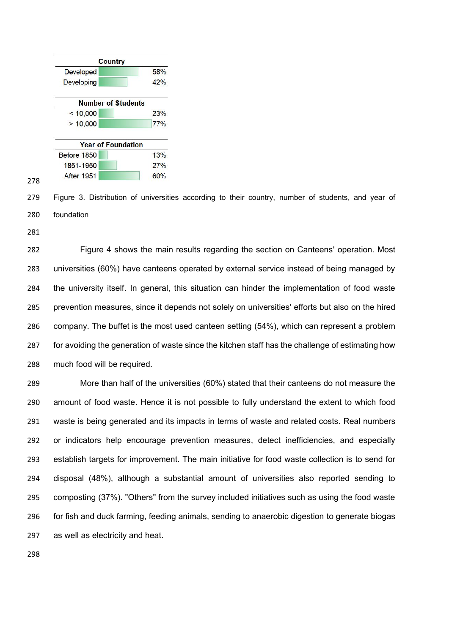

 Figure 3. Distribution of universities according to their country, number of students, and year of foundation

 Figure 4 shows the main results regarding the section on Canteens' operation. Most universities (60%) have canteens operated by external service instead of being managed by the university itself. In general, this situation can hinder the implementation of food waste prevention measures, since it depends not solely on universities' efforts but also on the hired company. The buffet is the most used canteen setting (54%), which can represent a problem 287 for avoiding the generation of waste since the kitchen staff has the challenge of estimating how much food will be required.

 More than half of the universities (60%) stated that their canteens do not measure the amount of food waste. Hence it is not possible to fully understand the extent to which food waste is being generated and its impacts in terms of waste and related costs. Real numbers or indicators help encourage prevention measures, detect inefficiencies, and especially establish targets for improvement. The main initiative for food waste collection is to send for disposal (48%), although a substantial amount of universities also reported sending to composting (37%). "Others" from the survey included initiatives such as using the food waste for fish and duck farming, feeding animals, sending to anaerobic digestion to generate biogas as well as electricity and heat.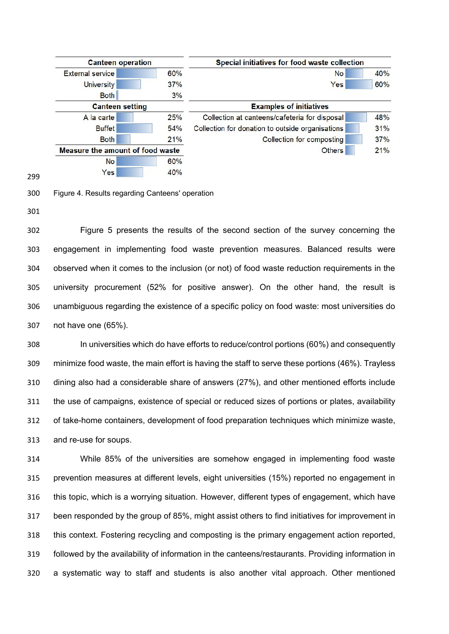



Figure 4. Results regarding Canteens' operation

 Figure 5 presents the results of the second section of the survey concerning the engagement in implementing food waste prevention measures. Balanced results were observed when it comes to the inclusion (or not) of food waste reduction requirements in the university procurement (52% for positive answer). On the other hand, the result is unambiguous regarding the existence of a specific policy on food waste: most universities do not have one (65%).

 In universities which do have efforts to reduce/control portions (60%) and consequently minimize food waste, the main effort is having the staff to serve these portions (46%). Trayless dining also had a considerable share of answers (27%), and other mentioned efforts include the use of campaigns, existence of special or reduced sizes of portions or plates, availability of take-home containers, development of food preparation techniques which minimize waste, and re-use for soups.

 While 85% of the universities are somehow engaged in implementing food waste prevention measures at different levels, eight universities (15%) reported no engagement in this topic, which is a worrying situation. However, different types of engagement, which have been responded by the group of 85%, might assist others to find initiatives for improvement in this context. Fostering recycling and composting is the primary engagement action reported, followed by the availability of information in the canteens/restaurants. Providing information in a systematic way to staff and students is also another vital approach. Other mentioned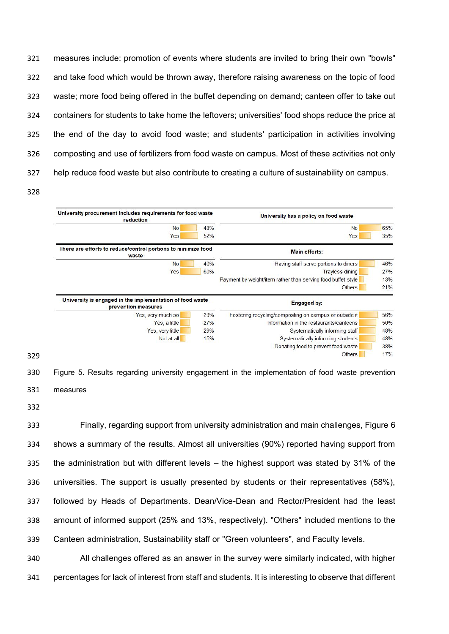measures include: promotion of events where students are invited to bring their own "bowls" and take food which would be thrown away, therefore raising awareness on the topic of food waste; more food being offered in the buffet depending on demand; canteen offer to take out containers for students to take home the leftovers; universities' food shops reduce the price at the end of the day to avoid food waste; and students' participation in activities involving composting and use of fertilizers from food waste on campus. Most of these activities not only help reduce food waste but also contribute to creating a culture of sustainability on campus.



 Figure 5. Results regarding university engagement in the implementation of food waste prevention measures

 Finally, regarding support from university administration and main challenges, Figure 6 shows a summary of the results. Almost all universities (90%) reported having support from the administration but with different levels – the highest support was stated by 31% of the universities. The support is usually presented by students or their representatives (58%), followed by Heads of Departments. Dean/Vice-Dean and Rector/President had the least amount of informed support (25% and 13%, respectively). "Others" included mentions to the Canteen administration, Sustainability staff or "Green volunteers", and Faculty levels.

 All challenges offered as an answer in the survey were similarly indicated, with higher percentages for lack of interest from staff and students. It is interesting to observe that different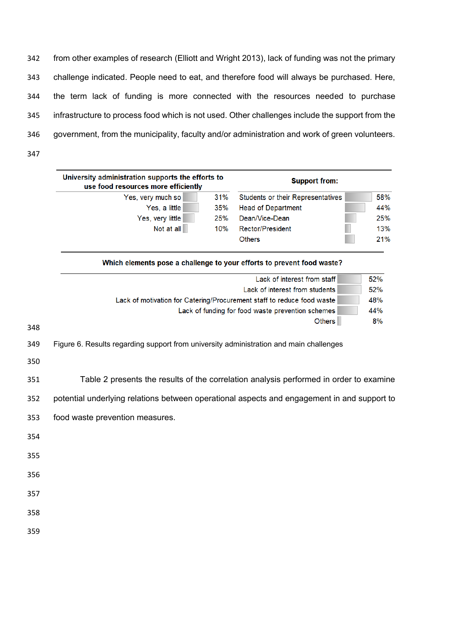from other examples of research (Elliott and Wright 2013), lack of funding was not the primary challenge indicated. People need to eat, and therefore food will always be purchased. Here, the term lack of funding is more connected with the resources needed to purchase infrastructure to process food which is not used. Other challenges include the support from the government, from the municipality, faculty and/or administration and work of green volunteers. 

| University administration supports the efforts to<br>use food resources more efficiently | <b>Support from:</b> |                                          |     |  |  |
|------------------------------------------------------------------------------------------|----------------------|------------------------------------------|-----|--|--|
| Yes, very much so                                                                        | 31%                  | <b>Students or their Representatives</b> | 58% |  |  |
| Yes, a little                                                                            | 35%                  | <b>Head of Department</b>                | 44% |  |  |
| Yes, very little                                                                         | 25%                  | Dean/Vice-Dean                           | 25% |  |  |
| Not at all                                                                               | 10%                  | <b>Rector/President</b>                  | 13% |  |  |
|                                                                                          |                      | <b>Others</b>                            | 21% |  |  |
|                                                                                          |                      |                                          |     |  |  |

|     | Which elements pose a challenge to your efforts to prevent food waste? |     |
|-----|------------------------------------------------------------------------|-----|
|     | Lack of interest from staff                                            | 52% |
|     | Lack of interest from students                                         | 52% |
|     | Lack of motivation for Catering/Procurement staff to reduce food waste | 48% |
|     | Lack of funding for food waste prevention schemes                      | 44% |
| 348 | <b>Others</b>                                                          | 8%  |

Figure 6. Results regarding support from university administration and main challenges

Table 2 presents the results of the correlation analysis performed in order to examine

potential underlying relations between operational aspects and engagement in and support to

- food waste prevention measures.
- 

- 
- 
- 
-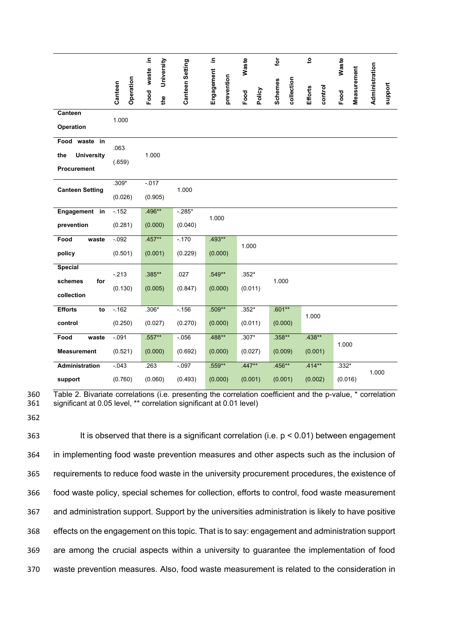|                          | Operation<br>Canteen | 크.<br>University<br>waste | Canteen Setting | 크.<br>Engagement<br>prevention | <b>Waste</b>   | for<br>collection<br><b>Schemes</b> | $\mathbf{c}$<br>control<br><b>Efforts</b> | Waste<br>Measurement | Administration<br>support |
|--------------------------|----------------------|---------------------------|-----------------|--------------------------------|----------------|-------------------------------------|-------------------------------------------|----------------------|---------------------------|
|                          |                      | Food<br>the               |                 |                                | Policy<br>Food |                                     |                                           | Food                 |                           |
| Canteen                  | 1.000                |                           |                 |                                |                |                                     |                                           |                      |                           |
| Operation                |                      |                           |                 |                                |                |                                     |                                           |                      |                           |
| Food<br>waste<br>in      |                      |                           |                 |                                |                |                                     |                                           |                      |                           |
| <b>University</b><br>the | .063                 | 1.000                     |                 |                                |                |                                     |                                           |                      |                           |
| Procurement              | (.659)               |                           |                 |                                |                |                                     |                                           |                      |                           |
|                          | $.309*$              | $-0.017$                  |                 |                                |                |                                     |                                           |                      |                           |
| <b>Canteen Setting</b>   | (0.026)              | (0.905)                   | 1.000           |                                |                |                                     |                                           |                      |                           |
| Engagement in            | $-152$               | $.496**$                  | $-285*$         |                                |                |                                     |                                           |                      |                           |
| prevention               | (0.281)              | (0.000)                   | (0.040)         | 1.000                          |                |                                     |                                           |                      |                           |
| Food<br>waste            | $-0.92$              | $.457**$                  | $-.170$         | $.493**$                       | 1.000          |                                     |                                           |                      |                           |
| policy                   | (0.501)              | (0.001)                   | (0.229)         | (0.000)                        |                |                                     |                                           |                      |                           |
| <b>Special</b>           | $-213$               | $.385**$                  | .027            | $.549**$                       | $.352*$        |                                     |                                           |                      |                           |
| for<br>schemes           | (0.130)              | (0.005)                   | (0.847)         | (0.000)                        | (0.011)        | 1.000                               |                                           |                      |                           |
| collection               |                      |                           |                 |                                |                |                                     |                                           |                      |                           |
| <b>Efforts</b><br>to     | $-162$               | $.306*$                   | $-156$          | $.509**$                       | $.352*$        | $.601**$                            |                                           |                      |                           |
| control                  | (0.250)              | (0.027)                   | (0.270)         | (0.000)                        | (0.011)        | (0.000)                             | 1.000                                     |                      |                           |
| Food<br>waste            | $-0.91$              | $.557**$                  | $-0.056$        | $.488**$                       | $.307*$        | $.358**$                            | $.438**$                                  |                      |                           |
| <b>Measurement</b>       | (0.521)              | (0.000)                   | (0.692)         | (0.000)                        | (0.027)        | (0.009)                             | (0.001)                                   | 1.000                |                           |
| Administration           | $-043$               | .263                      | $-0.097$        | $.559**$                       | $.447**$       | $.456**$                            | $.414**$                                  | $.332*$              | 1.000                     |
| support                  | (0.760)              | (0.060)                   | (0.493)         | (0.000)                        | (0.001)        | (0.001)                             | (0.002)                                   | (0.016)              |                           |

360 Table 2. Bivariate correlations (i.e. presenting the correlation coefficient and the p-value, \* correlation 361 significant at 0.05 level, \*\* correlation significant at 0.01 level) significant at 0.05 level, \*\* correlation significant at 0.01 level)

362

363 It is observed that there is a significant correlation (i.e. p < 0.01) between engagement in implementing food waste prevention measures and other aspects such as the inclusion of requirements to reduce food waste in the university procurement procedures, the existence of food waste policy, special schemes for collection, efforts to control, food waste measurement and administration support. Support by the universities administration is likely to have positive effects on the engagement on this topic. That is to say: engagement and administration support are among the crucial aspects within a university to guarantee the implementation of food waste prevention measures. Also, food waste measurement is related to the consideration in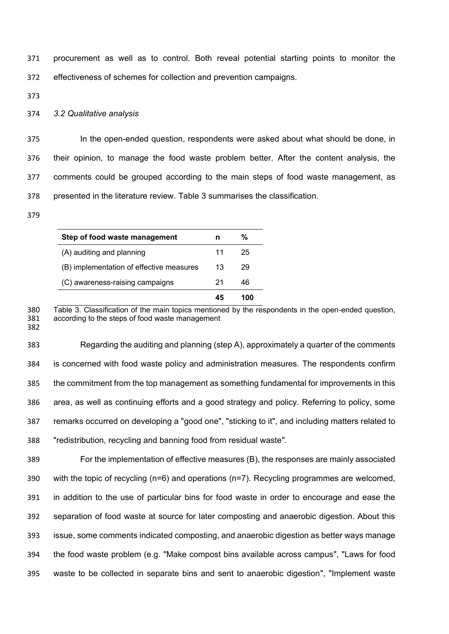procurement as well as to control. Both reveal potential starting points to monitor the effectiveness of schemes for collection and prevention campaigns.

## *3.2 Qualitative analysis*

 In the open-ended question, respondents were asked about what should be done, in their opinion, to manage the food waste problem better. After the content analysis, the comments could be grouped according to the main steps of food waste management, as presented in the literature review. Table 3 summarises the classification.

| Step of food waste management            |    | %   |
|------------------------------------------|----|-----|
| (A) auditing and planning                | 11 | 25  |
| (B) implementation of effective measures | 13 | 29  |
| (C) awareness-raising campaigns          | 21 | 46  |
|                                          | 45 | 100 |

380 Table 3. Classification of the main topics mentioned by the respondents in the open-ended question,<br>381 according to the steps of food waste management according to the steps of food waste management 

 Regarding the auditing and planning (step A), approximately a quarter of the comments is concerned with food waste policy and administration measures. The respondents confirm the commitment from the top management as something fundamental for improvements in this area, as well as continuing efforts and a good strategy and policy. Referring to policy, some remarks occurred on developing a "good one", "sticking to it", and including matters related to "redistribution, recycling and banning food from residual waste".

 For the implementation of effective measures (B), the responses are mainly associated with the topic of recycling (n=6) and operations (n=7). Recycling programmes are welcomed, in addition to the use of particular bins for food waste in order to encourage and ease the separation of food waste at source for later composting and anaerobic digestion. About this issue, some comments indicated composting, and anaerobic digestion as better ways manage the food waste problem (e.g. "Make compost bins available across campus", "Laws for food waste to be collected in separate bins and sent to anaerobic digestion", "Implement waste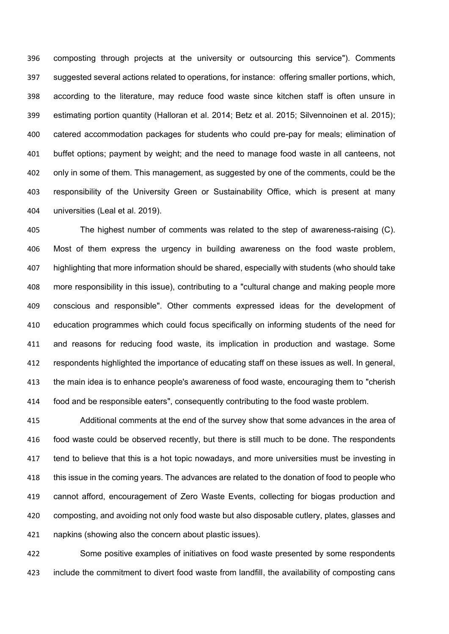composting through projects at the university or outsourcing this service"). Comments suggested several actions related to operations, for instance: offering smaller portions, which, according to the literature, may reduce food waste since kitchen staff is often unsure in estimating portion quantity (Halloran et al. 2014; Betz et al. 2015; Silvennoinen et al. 2015); catered accommodation packages for students who could pre-pay for meals; elimination of buffet options; payment by weight; and the need to manage food waste in all canteens, not only in some of them. This management, as suggested by one of the comments, could be the responsibility of the University Green or Sustainability Office, which is present at many universities (Leal et al. 2019).

 The highest number of comments was related to the step of awareness-raising (C). Most of them express the urgency in building awareness on the food waste problem, highlighting that more information should be shared, especially with students (who should take more responsibility in this issue), contributing to a "cultural change and making people more conscious and responsible". Other comments expressed ideas for the development of education programmes which could focus specifically on informing students of the need for and reasons for reducing food waste, its implication in production and wastage. Some respondents highlighted the importance of educating staff on these issues as well. In general, the main idea is to enhance people's awareness of food waste, encouraging them to "cherish food and be responsible eaters", consequently contributing to the food waste problem.

 Additional comments at the end of the survey show that some advances in the area of food waste could be observed recently, but there is still much to be done. The respondents tend to believe that this is a hot topic nowadays, and more universities must be investing in this issue in the coming years. The advances are related to the donation of food to people who cannot afford, encouragement of Zero Waste Events, collecting for biogas production and composting, and avoiding not only food waste but also disposable cutlery, plates, glasses and napkins (showing also the concern about plastic issues).

 Some positive examples of initiatives on food waste presented by some respondents include the commitment to divert food waste from landfill, the availability of composting cans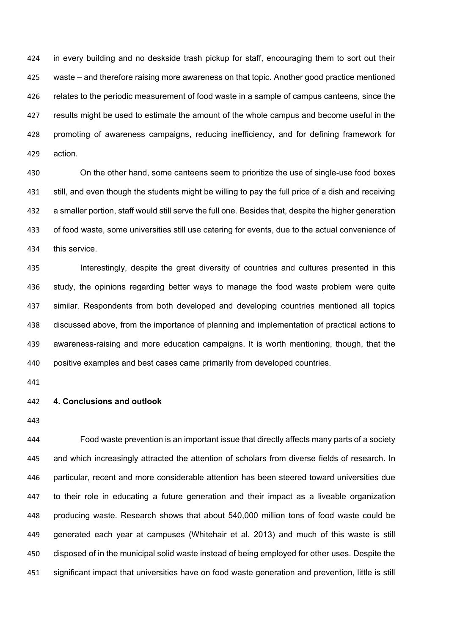in every building and no deskside trash pickup for staff, encouraging them to sort out their waste – and therefore raising more awareness on that topic. Another good practice mentioned relates to the periodic measurement of food waste in a sample of campus canteens, since the results might be used to estimate the amount of the whole campus and become useful in the promoting of awareness campaigns, reducing inefficiency, and for defining framework for action.

 On the other hand, some canteens seem to prioritize the use of single-use food boxes still, and even though the students might be willing to pay the full price of a dish and receiving a smaller portion, staff would still serve the full one. Besides that, despite the higher generation of food waste, some universities still use catering for events, due to the actual convenience of this service.

 Interestingly, despite the great diversity of countries and cultures presented in this study, the opinions regarding better ways to manage the food waste problem were quite similar. Respondents from both developed and developing countries mentioned all topics discussed above, from the importance of planning and implementation of practical actions to awareness-raising and more education campaigns. It is worth mentioning, though, that the positive examples and best cases came primarily from developed countries.

### **4. Conclusions and outlook**

 Food waste prevention is an important issue that directly affects many parts of a society and which increasingly attracted the attention of scholars from diverse fields of research. In particular, recent and more considerable attention has been steered toward universities due to their role in educating a future generation and their impact as a liveable organization producing waste. Research shows that about 540,000 million tons of food waste could be generated each year at campuses (Whitehair et al. 2013) and much of this waste is still disposed of in the municipal solid waste instead of being employed for other uses. Despite the significant impact that universities have on food waste generation and prevention, little is still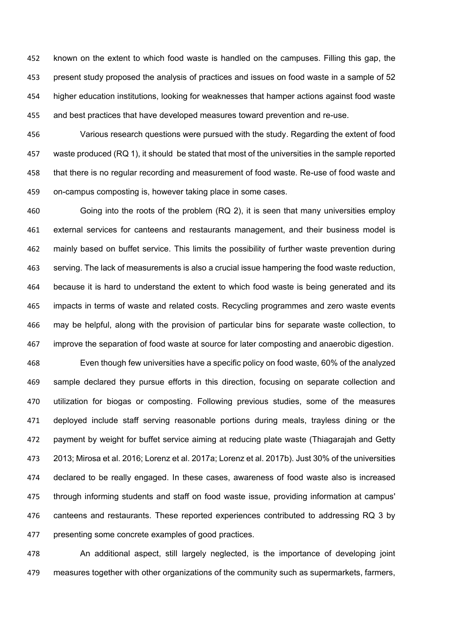known on the extent to which food waste is handled on the campuses. Filling this gap, the present study proposed the analysis of practices and issues on food waste in a sample of 52 higher education institutions, looking for weaknesses that hamper actions against food waste and best practices that have developed measures toward prevention and re-use.

 Various research questions were pursued with the study. Regarding the extent of food waste produced (RQ 1), it should be stated that most of the universities in the sample reported that there is no regular recording and measurement of food waste. Re-use of food waste and on-campus composting is, however taking place in some cases.

 Going into the roots of the problem (RQ 2), it is seen that many universities employ external services for canteens and restaurants management, and their business model is mainly based on buffet service. This limits the possibility of further waste prevention during serving. The lack of measurements is also a crucial issue hampering the food waste reduction, because it is hard to understand the extent to which food waste is being generated and its impacts in terms of waste and related costs. Recycling programmes and zero waste events may be helpful, along with the provision of particular bins for separate waste collection, to improve the separation of food waste at source for later composting and anaerobic digestion.

 Even though few universities have a specific policy on food waste, 60% of the analyzed sample declared they pursue efforts in this direction, focusing on separate collection and utilization for biogas or composting. Following previous studies, some of the measures deployed include staff serving reasonable portions during meals, trayless dining or the payment by weight for buffet service aiming at reducing plate waste (Thiagarajah and Getty 2013; Mirosa et al. 2016; Lorenz et al. 2017a; Lorenz et al. 2017b). Just 30% of the universities declared to be really engaged. In these cases, awareness of food waste also is increased through informing students and staff on food waste issue, providing information at campus' canteens and restaurants. These reported experiences contributed to addressing RQ 3 by presenting some concrete examples of good practices.

 An additional aspect, still largely neglected, is the importance of developing joint measures together with other organizations of the community such as supermarkets, farmers,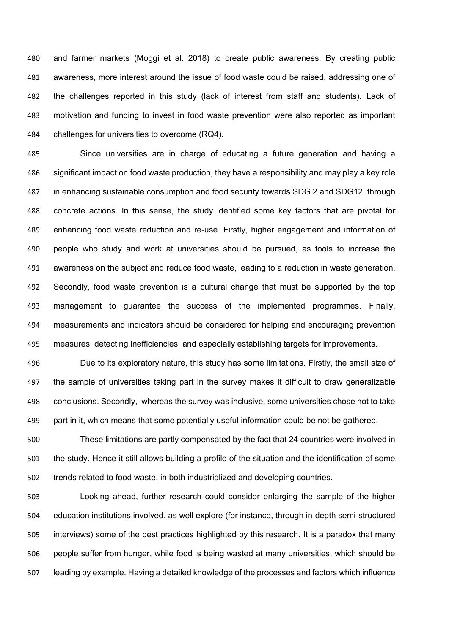and farmer markets (Moggi et al. 2018) to create public awareness. By creating public awareness, more interest around the issue of food waste could be raised, addressing one of the challenges reported in this study (lack of interest from staff and students). Lack of motivation and funding to invest in food waste prevention were also reported as important challenges for universities to overcome (RQ4).

 Since universities are in charge of educating a future generation and having a significant impact on food waste production, they have a responsibility and may play a key role in enhancing sustainable consumption and food security towards SDG 2 and SDG12 through concrete actions. In this sense, the study identified some key factors that are pivotal for enhancing food waste reduction and re-use. Firstly, higher engagement and information of people who study and work at universities should be pursued, as tools to increase the awareness on the subject and reduce food waste, leading to a reduction in waste generation. Secondly, food waste prevention is a cultural change that must be supported by the top management to guarantee the success of the implemented programmes. Finally, measurements and indicators should be considered for helping and encouraging prevention measures, detecting inefficiencies, and especially establishing targets for improvements.

 Due to its exploratory nature, this study has some limitations. Firstly, the small size of the sample of universities taking part in the survey makes it difficult to draw generalizable conclusions. Secondly, whereas the survey was inclusive, some universities chose not to take part in it, which means that some potentially useful information could be not be gathered.

 These limitations are partly compensated by the fact that 24 countries were involved in the study. Hence it still allows building a profile of the situation and the identification of some trends related to food waste, in both industrialized and developing countries.

 Looking ahead, further research could consider enlarging the sample of the higher education institutions involved, as well explore (for instance, through in-depth semi-structured interviews) some of the best practices highlighted by this research. It is a paradox that many people suffer from hunger, while food is being wasted at many universities, which should be leading by example. Having a detailed knowledge of the processes and factors which influence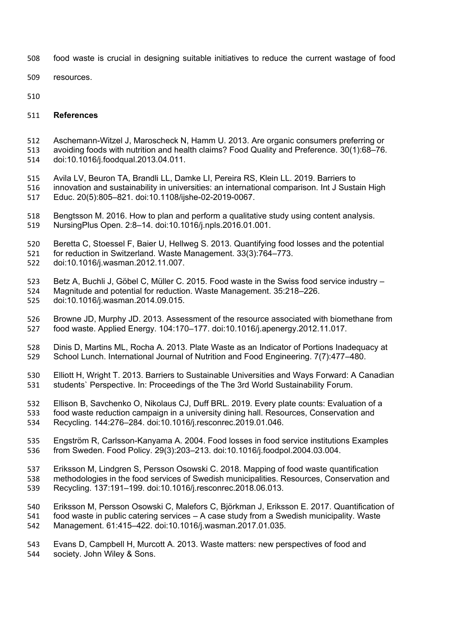- food waste is crucial in designing suitable initiatives to reduce the current wastage of food
- resources.
- 

### **References**

- Aschemann-Witzel J, Maroscheck N, Hamm U. 2013. Are organic consumers preferring or avoiding foods with nutrition and health claims? Food Quality and Preference. 30(1):68–76. doi:10.1016/j.foodqual.2013.04.011.
- Avila LV, Beuron TA, Brandli LL, Damke LI, Pereira RS, Klein LL. 2019. Barriers to innovation and sustainability in universities: an international comparison. Int J Sustain High Educ. 20(5):805–821. doi:10.1108/ijshe-02-2019-0067.
- Bengtsson M. 2016. How to plan and perform a qualitative study using content analysis. NursingPlus Open. 2:8–14. doi:10.1016/j.npls.2016.01.001.
- Beretta C, Stoessel F, Baier U, Hellweg S. 2013. Quantifying food losses and the potential
- for reduction in Switzerland. Waste Management. 33(3):764–773.
- doi:10.1016/j.wasman.2012.11.007.
- Betz A, Buchli J, Göbel C, Müller C. 2015. Food waste in the Swiss food service industry Magnitude and potential for reduction. Waste Management. 35:218–226. doi:10.1016/j.wasman.2014.09.015.
- Browne JD, Murphy JD. 2013. Assessment of the resource associated with biomethane from food waste. Applied Energy. 104:170–177. doi:10.1016/j.apenergy.2012.11.017.
- Dinis D, Martins ML, Rocha A. 2013. Plate Waste as an Indicator of Portions Inadequacy at School Lunch. International Journal of Nutrition and Food Engineering. 7(7):477–480.
- Elliott H, Wright T. 2013. Barriers to Sustainable Universities and Ways Forward: A Canadian students` Perspective. In: Proceedings of the The 3rd World Sustainability Forum.
- Ellison B, Savchenko O, Nikolaus CJ, Duff BRL. 2019. Every plate counts: Evaluation of a food waste reduction campaign in a university dining hall. Resources, Conservation and Recycling. 144:276–284. doi:10.1016/j.resconrec.2019.01.046.
- Engström R, Carlsson-Kanyama A. 2004. Food losses in food service institutions Examples from Sweden. Food Policy. 29(3):203–213. doi:10.1016/j.foodpol.2004.03.004.
- Eriksson M, Lindgren S, Persson Osowski C. 2018. Mapping of food waste quantification methodologies in the food services of Swedish municipalities. Resources, Conservation and Recycling. 137:191–199. doi:10.1016/j.resconrec.2018.06.013.
- Eriksson M, Persson Osowski C, Malefors C, Björkman J, Eriksson E. 2017. Quantification of food waste in public catering services – A case study from a Swedish municipality. Waste Management. 61:415–422. doi:10.1016/j.wasman.2017.01.035.
- Evans D, Campbell H, Murcott A. 2013. Waste matters: new perspectives of food and society. John Wiley & Sons.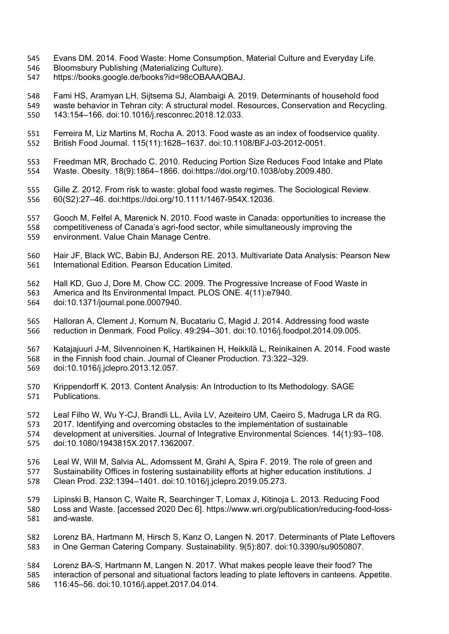- Evans DM. 2014. Food Waste: Home Consumption, Material Culture and Everyday Life.
- Bloomsbury Publishing (Materializing Culture).
- https://books.google.de/books?id=98cOBAAAQBAJ.

 Fami HS, Aramyan LH, Sijtsema SJ, Alambaigi A. 2019. Determinants of household food waste behavior in Tehran city: A structural model. Resources, Conservation and Recycling. 143:154–166. doi:10.1016/j.resconrec.2018.12.033.

- Ferreira M, Liz Martins M, Rocha A. 2013. Food waste as an index of foodservice quality. British Food Journal. 115(11):1628–1637. doi:10.1108/BFJ-03-2012-0051.
- Freedman MR, Brochado C. 2010. Reducing Portion Size Reduces Food Intake and Plate Waste. Obesity. 18(9):1864–1866. doi:https://doi.org/10.1038/oby.2009.480.
- Gille Z. 2012. From risk to waste: global food waste regimes. The Sociological Review. 60(S2):27–46. doi:https://doi.org/10.1111/1467-954X.12036.
- Gooch M, Felfel A, Marenick N. 2010. Food waste in Canada: opportunities to increase the competitiveness of Canada's agri-food sector, while simultaneously improving the environment. Value Chain Manage Centre.
- Hair JF, Black WC, Babin BJ, Anderson RE. 2013. Multivariate Data Analysis: Pearson New International Edition. Pearson Education Limited.
- Hall KD, Guo J, Dore M, Chow CC. 2009. The Progressive Increase of Food Waste in America and Its Environmental Impact. PLOS ONE. 4(11):e7940. doi:10.1371/journal.pone.0007940.
- Halloran A, Clement J, Kornum N, Bucatariu C, Magid J. 2014. Addressing food waste reduction in Denmark. Food Policy. 49:294–301. doi:10.1016/j.foodpol.2014.09.005.
- Katajajuuri J-M, Silvennoinen K, Hartikainen H, Heikkilä L, Reinikainen A. 2014. Food waste in the Finnish food chain. Journal of Cleaner Production. 73:322–329.
- doi:10.1016/j.jclepro.2013.12.057.
- Krippendorff K. 2013. Content Analysis: An Introduction to Its Methodology. SAGE Publications.
- Leal Filho W, Wu Y-CJ, Brandli LL, Avila LV, Azeiteiro UM, Caeiro S, Madruga LR da RG. 2017. Identifying and overcoming obstacles to the implementation of sustainable
- development at universities. Journal of Integrative Environmental Sciences. 14(1):93–108.
- doi:10.1080/1943815X.2017.1362007.
- Leal W, Will M, Salvia AL, Adomssent M, Grahl A, Spira F. 2019. The role of green and
- 577 Sustainability Offices in fostering sustainability efforts at higher education institutions. J<br>578 Clean Prod. 232:1394–1401. doi:10.1016/j.jclepro.2019.05.273. Clean Prod. 232:1394–1401. doi:10.1016/j.jclepro.2019.05.273.
- Lipinski B, Hanson C, Waite R, Searchinger T, Lomax J, Kitinoja L. 2013. Reducing Food Loss and Waste. [accessed 2020 Dec 6]. https://www.wri.org/publication/reducing-food-loss-and-waste.
- Lorenz BA, Hartmann M, Hirsch S, Kanz O, Langen N. 2017. Determinants of Plate Leftovers in One German Catering Company. Sustainability. 9(5):807. doi:10.3390/su9050807.
- Lorenz BA-S, Hartmann M, Langen N. 2017. What makes people leave their food? The interaction of personal and situational factors leading to plate leftovers in canteens. Appetite.
- 116:45–56. doi:10.1016/j.appet.2017.04.014.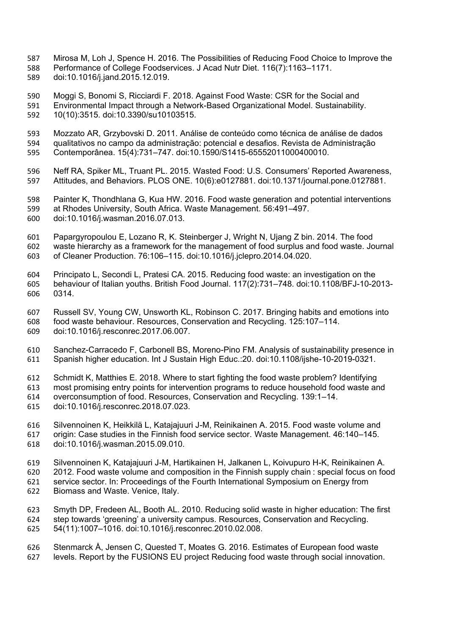Mirosa M, Loh J, Spence H. 2016. The Possibilities of Reducing Food Choice to Improve the Performance of College Foodservices. J Acad Nutr Diet. 116(7):1163–1171. doi:10.1016/j.jand.2015.12.019.

 Moggi S, Bonomi S, Ricciardi F. 2018. Against Food Waste: CSR for the Social and Environmental Impact through a Network-Based Organizational Model. Sustainability. 10(10):3515. doi:10.3390/su10103515.

 Mozzato AR, Grzybovski D. 2011. Análise de conteúdo como técnica de análise de dados qualitativos no campo da administração: potencial e desafios. Revista de Administração Contemporânea. 15(4):731–747. doi:10.1590/S1415-65552011000400010.

 Neff RA, Spiker ML, Truant PL. 2015. Wasted Food: U.S. Consumers' Reported Awareness, Attitudes, and Behaviors. PLOS ONE. 10(6):e0127881. doi:10.1371/journal.pone.0127881.

 Painter K, Thondhlana G, Kua HW. 2016. Food waste generation and potential interventions at Rhodes University, South Africa. Waste Management. 56:491–497. doi:10.1016/j.wasman.2016.07.013.

 Papargyropoulou E, Lozano R, K. Steinberger J, Wright N, Ujang Z bin. 2014. The food waste hierarchy as a framework for the management of food surplus and food waste. Journal of Cleaner Production. 76:106–115. doi:10.1016/j.jclepro.2014.04.020.

 Principato L, Secondi L, Pratesi CA. 2015. Reducing food waste: an investigation on the behaviour of Italian youths. British Food Journal. 117(2):731–748. doi:10.1108/BFJ-10-2013- 0314.

 Russell SV, Young CW, Unsworth KL, Robinson C. 2017. Bringing habits and emotions into food waste behaviour. Resources, Conservation and Recycling. 125:107–114. doi:10.1016/j.resconrec.2017.06.007.

 Sanchez-Carracedo F, Carbonell BS, Moreno-Pino FM. Analysis of sustainability presence in Spanish higher education. Int J Sustain High Educ.:20. doi:10.1108/ijshe-10-2019-0321.

 Schmidt K, Matthies E. 2018. Where to start fighting the food waste problem? Identifying most promising entry points for intervention programs to reduce household food waste and overconsumption of food. Resources, Conservation and Recycling. 139:1–14.

- doi:10.1016/j.resconrec.2018.07.023.
- Silvennoinen K, Heikkilä L, Katajajuuri J-M, Reinikainen A. 2015. Food waste volume and origin: Case studies in the Finnish food service sector. Waste Management. 46:140–145. doi:10.1016/j.wasman.2015.09.010.

 Silvennoinen K, Katajajuuri J-M, Hartikainen H, Jalkanen L, Koivupuro H-K, Reinikainen A. 2012. Food waste volume and composition in the Finnish supply chain : special focus on food service sector. In: Proceedings of the Fourth International Symposium on Energy from Biomass and Waste. Venice, Italy.

 Smyth DP, Fredeen AL, Booth AL. 2010. Reducing solid waste in higher education: The first step towards 'greening' a university campus. Resources, Conservation and Recycling. 54(11):1007–1016. doi:10.1016/j.resconrec.2010.02.008.

626 Stenmarck Å, Jensen C, Quested T, Moates G. 2016. Estimates of European food waste<br>627 Levels, Report by the FUSIONS EU project Reducing food waste through social innovation levels. Report by the FUSIONS EU project Reducing food waste through social innovation.